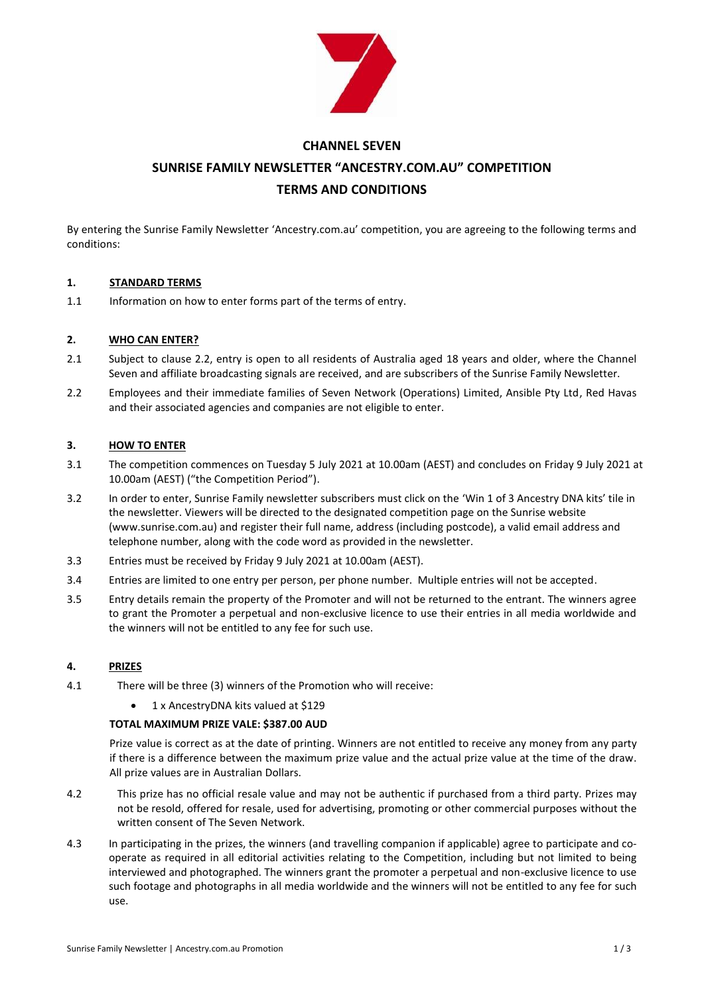

# **CHANNEL SEVEN SUNRISE FAMILY NEWSLETTER "ANCESTRY.COM.AU" COMPETITION TERMS AND CONDITIONS**

By entering the Sunrise Family Newsletter 'Ancestry.com.au' competition, you are agreeing to the following terms and conditions:

# **1. STANDARD TERMS**

1.1 Information on how to enter forms part of the terms of entry.

# **2. WHO CAN ENTER?**

- 2.1 Subject to clause 2.2, entry is open to all residents of Australia aged 18 years and older, where the Channel Seven and affiliate broadcasting signals are received, and are subscribers of the Sunrise Family Newsletter.
- 2.2 Employees and their immediate families of Seven Network (Operations) Limited, Ansible Pty Ltd, Red Havas and their associated agencies and companies are not eligible to enter.

# **3. HOW TO ENTER**

- 3.1 The competition commences on Tuesday 5 July 2021 at 10.00am (AEST) and concludes on Friday 9 July 2021 at 10.00am (AEST) ("the Competition Period").
- 3.2 In order to enter, Sunrise Family newsletter subscribers must click on the 'Win 1 of 3 Ancestry DNA kits' tile in the newsletter. Viewers will be directed to the designated competition page on the Sunrise website (www.sunrise.com.au) and register their full name, address (including postcode), a valid email address and telephone number, along with the code word as provided in the newsletter.
- 3.3 Entries must be received by Friday 9 July 2021 at 10.00am (AEST).
- 3.4 Entries are limited to one entry per person, per phone number. Multiple entries will not be accepted.
- 3.5 Entry details remain the property of the Promoter and will not be returned to the entrant. The winners agree to grant the Promoter a perpetual and non-exclusive licence to use their entries in all media worldwide and the winners will not be entitled to any fee for such use.

#### **4. PRIZES**

- 4.1 There will be three (3) winners of the Promotion who will receive:
	- 1 x AncestryDNA kits valued at \$129

### **TOTAL MAXIMUM PRIZE VALE: \$387.00 AUD**

Prize value is correct as at the date of printing. Winners are not entitled to receive any money from any party if there is a difference between the maximum prize value and the actual prize value at the time of the draw. All prize values are in Australian Dollars.

- 4.2 This prize has no official resale value and may not be authentic if purchased from a third party. Prizes may not be resold, offered for resale, used for advertising, promoting or other commercial purposes without the written consent of The Seven Network.
- 4.3 In participating in the prizes, the winners (and travelling companion if applicable) agree to participate and cooperate as required in all editorial activities relating to the Competition, including but not limited to being interviewed and photographed. The winners grant the promoter a perpetual and non-exclusive licence to use such footage and photographs in all media worldwide and the winners will not be entitled to any fee for such use.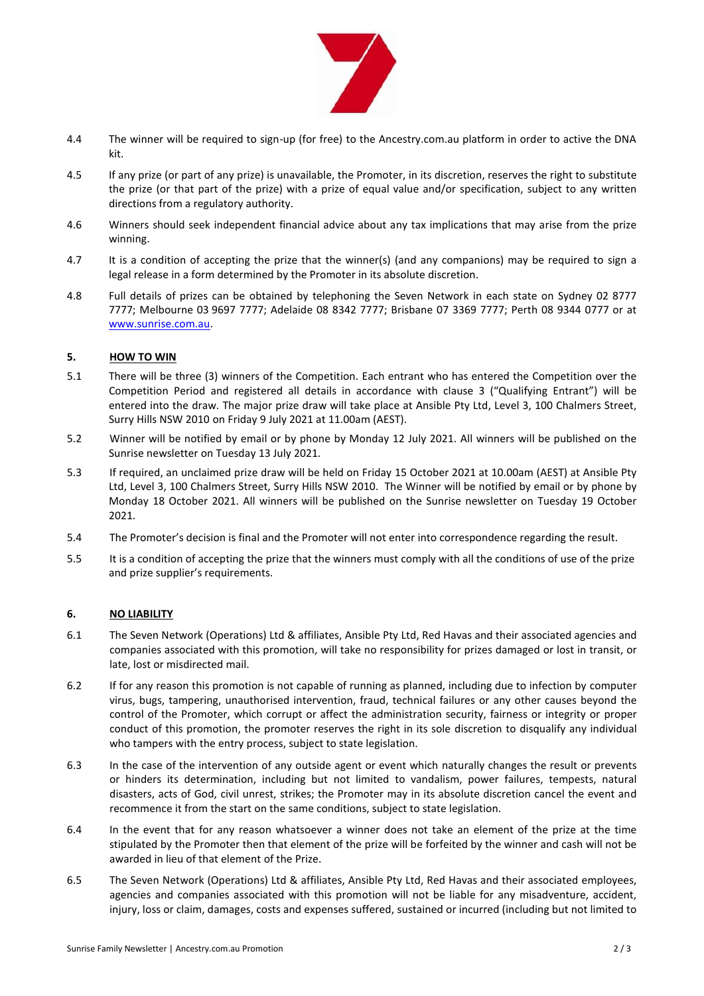

- 4.4 The winner will be required to sign-up (for free) to the Ancestry.com.au platform in order to active the DNA kit.
- 4.5 If any prize (or part of any prize) is unavailable, the Promoter, in its discretion, reserves the right to substitute the prize (or that part of the prize) with a prize of equal value and/or specification, subject to any written directions from a regulatory authority.
- 4.6 Winners should seek independent financial advice about any tax implications that may arise from the prize winning.
- 4.7 It is a condition of accepting the prize that the winner(s) (and any companions) may be required to sign a legal release in a form determined by the Promoter in its absolute discretion.
- 4.8 Full details of prizes can be obtained by telephoning the Seven Network in each state on Sydney 02 8777 7777; Melbourne 03 9697 7777; Adelaide 08 8342 7777; Brisbane 07 3369 7777; Perth 08 9344 0777 or at [www.sunrise.com.au.](http://www.sunrise.com.au/)

# **5. HOW TO WIN**

- 5.1 There will be three (3) winners of the Competition. Each entrant who has entered the Competition over the Competition Period and registered all details in accordance with clause 3 ("Qualifying Entrant") will be entered into the draw. The major prize draw will take place at Ansible Pty Ltd, Level 3, 100 Chalmers Street, Surry Hills NSW 2010 on Friday 9 July 2021 at 11.00am (AEST).
- 5.2 Winner will be notified by email or by phone by Monday 12 July 2021. All winners will be published on the Sunrise newsletter on Tuesday 13 July 2021.
- 5.3 If required, an unclaimed prize draw will be held on Friday 15 October 2021 at 10.00am (AEST) at Ansible Pty Ltd, Level 3, 100 Chalmers Street, Surry Hills NSW 2010. The Winner will be notified by email or by phone by Monday 18 October 2021. All winners will be published on the Sunrise newsletter on Tuesday 19 October 2021.
- 5.4 The Promoter's decision is final and the Promoter will not enter into correspondence regarding the result.
- 5.5 It is a condition of accepting the prize that the winners must comply with all the conditions of use of the prize and prize supplier's requirements.

# **6. NO LIABILITY**

- 6.1 The Seven Network (Operations) Ltd & affiliates, Ansible Pty Ltd, Red Havas and their associated agencies and companies associated with this promotion, will take no responsibility for prizes damaged or lost in transit, or late, lost or misdirected mail.
- 6.2 If for any reason this promotion is not capable of running as planned, including due to infection by computer virus, bugs, tampering, unauthorised intervention, fraud, technical failures or any other causes beyond the control of the Promoter, which corrupt or affect the administration security, fairness or integrity or proper conduct of this promotion, the promoter reserves the right in its sole discretion to disqualify any individual who tampers with the entry process, subject to state legislation.
- 6.3 In the case of the intervention of any outside agent or event which naturally changes the result or prevents or hinders its determination, including but not limited to vandalism, power failures, tempests, natural disasters, acts of God, civil unrest, strikes; the Promoter may in its absolute discretion cancel the event and recommence it from the start on the same conditions, subject to state legislation.
- 6.4 In the event that for any reason whatsoever a winner does not take an element of the prize at the time stipulated by the Promoter then that element of the prize will be forfeited by the winner and cash will not be awarded in lieu of that element of the Prize.
- 6.5 The Seven Network (Operations) Ltd & affiliates, Ansible Pty Ltd, Red Havas and their associated employees, agencies and companies associated with this promotion will not be liable for any misadventure, accident, injury, loss or claim, damages, costs and expenses suffered, sustained or incurred (including but not limited to